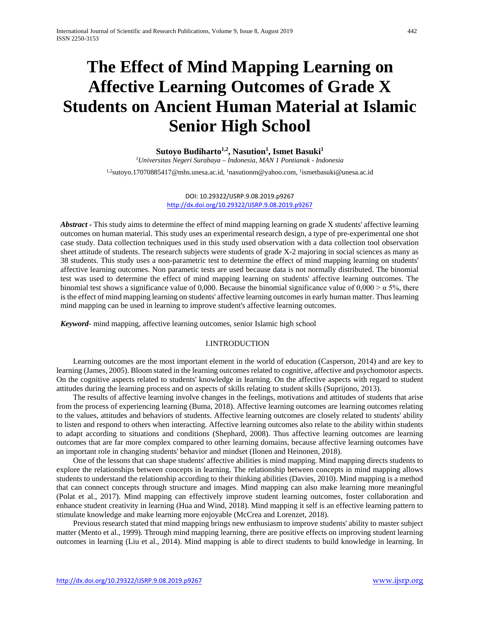# **The Effect of Mind Mapping Learning on Affective Learning Outcomes of Grade X Students on Ancient Human Material at Islamic Senior High School**

## $\mathrm{Subyo\;Budiharto^{1,2},Nasution^{1}, Ismet\;Basuki^{1}}$

*1Universitas Negeri Surabaya – Indonesia, MAN 1 Pontianak - Indonesia*

<sup>1,2</sup>sutoyo.17070885417@mhs.unesa.ac.id, <sup>1</sup>nasutionm@yahoo.com, <sup>1</sup>ismetbasuki@unesa.ac.id

#### DOI: 10.29322/IJSRP.9.08.2019.p9267 <http://dx.doi.org/10.29322/IJSRP.9.08.2019.p9267>

*Abstract* **-** This study aims to determine the effect of mind mapping learning on grade X students' affective learning outcomes on human material. This study uses an experimental research design, a type of pre-experimental one shot case study. Data collection techniques used in this study used observation with a data collection tool observation sheet attitude of students. The research subjects were students of grade X-2 majoring in social sciences as many as 38 students. This study uses a non-parametric test to determine the effect of mind mapping learning on students' affective learning outcomes. Non parametic tests are used because data is not normally distributed. The binomial test was used to determine the effect of mind mapping learning on students' affective learning outcomes. The binomial test shows a significance value of 0,000. Because the binomial significance value of  $0,000 > \alpha$  5%, there is the effect of mind mapping learning on students' affective learning outcomes in early human matter. Thus learning mind mapping can be used in learning to improve student's affective learning outcomes.

*Keyword*- mind mapping, affective learning outcomes, senior Islamic high school

## I.INTRODUCTION

Learning outcomes are the most important element in the world of education (Casperson, 2014) and are key to learning (James, 2005). Bloom stated in the learning outcomes related to cognitive, affective and psychomotor aspects. On the cognitive aspects related to students' knowledge in learning. On the affective aspects with regard to student attitudes during the learning process and on aspects of skills relating to student skills (Suprijono, 2013).

The results of affective learning involve changes in the feelings, motivations and attitudes of students that arise from the process of experiencing learning (Buma, 2018). Affective learning outcomes are learning outcomes relating to the values, attitudes and behaviors of students. Affective learning outcomes are closely related to students' ability to listen and respond to others when interacting. Affective learning outcomes also relate to the ability within students to adapt according to situations and conditions (Shephard, 2008). Thus affective learning outcomes are learning outcomes that are far more complex compared to other learning domains, because affective learning outcomes have an important role in changing students' behavior and mindset (Ilonen and Heinonen, 2018).

One of the lessons that can shape students' affective abilities is mind mapping. Mind mapping directs students to explore the relationships between concepts in learning. The relationship between concepts in mind mapping allows students to understand the relationship according to their thinking abilities (Davies, 2010). Mind mapping is a method that can connect concepts through structure and images. Mind mapping can also make learning more meaningful (Polat et al., 2017). Mind mapping can effectively improve student learning outcomes, foster collaboration and enhance student creativity in learning (Hua and Wind, 2018). Mind mapping it self is an effective learning pattern to stimulate knowledge and make learning more enjoyable (McCrea and Lorenzet, 2018).

Previous research stated that mind mapping brings new enthusiasm to improve students' ability to master subject matter (Mento et al., 1999). Through mind mapping learning, there are positive effects on improving student learning outcomes in learning (Liu et al., 2014). Mind mapping is able to direct students to build knowledge in learning. In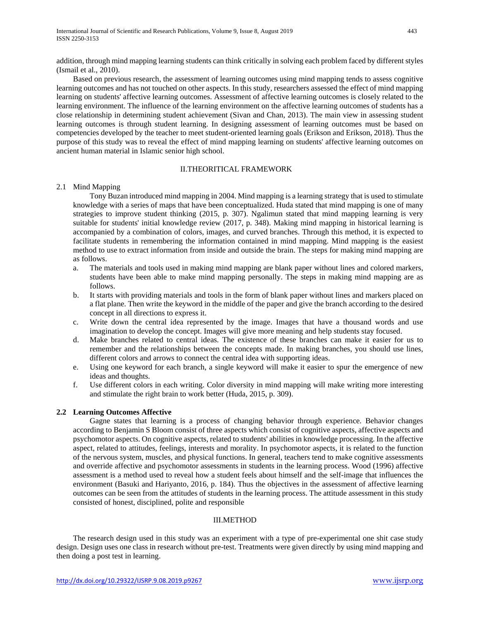addition, through mind mapping learning students can think critically in solving each problem faced by different styles (Ismail et al., 2010).

Based on previous research, the assessment of learning outcomes using mind mapping tends to assess cognitive learning outcomes and has not touched on other aspects. In this study, researchers assessed the effect of mind mapping learning on students' affective learning outcomes. Assessment of affective learning outcomes is closely related to the learning environment. The influence of the learning environment on the affective learning outcomes of students has a close relationship in determining student achievement (Sivan and Chan, 2013). The main view in assessing student learning outcomes is through student learning. In designing assessment of learning outcomes must be based on competencies developed by the teacher to meet student-oriented learning goals (Erikson and Erikson, 2018). Thus the purpose of this study was to reveal the effect of mind mapping learning on students' affective learning outcomes on ancient human material in Islamic senior high school.

### II.THEORITICAL FRAMEWORK

## 2.1 Mind Mapping

Tony Buzan introduced mind mapping in 2004. Mind mapping is a learning strategy that is used to stimulate knowledge with a series of maps that have been conceptualized. Huda stated that mind mapping is one of many strategies to improve student thinking (2015, p. 307). Ngalimun stated that mind mapping learning is very suitable for students' initial knowledge review (2017, p. 348). Making mind mapping in historical learning is accompanied by a combination of colors, images, and curved branches. Through this method, it is expected to facilitate students in remembering the information contained in mind mapping. Mind mapping is the easiest method to use to extract information from inside and outside the brain. The steps for making mind mapping are as follows.

- a. The materials and tools used in making mind mapping are blank paper without lines and colored markers, students have been able to make mind mapping personally. The steps in making mind mapping are as follows.
- b. It starts with providing materials and tools in the form of blank paper without lines and markers placed on a flat plane. Then write the keyword in the middle of the paper and give the branch according to the desired concept in all directions to express it.
- c. Write down the central idea represented by the image. Images that have a thousand words and use imagination to develop the concept. Images will give more meaning and help students stay focused.
- d. Make branches related to central ideas. The existence of these branches can make it easier for us to remember and the relationships between the concepts made. In making branches, you should use lines, different colors and arrows to connect the central idea with supporting ideas.
- e. Using one keyword for each branch, a single keyword will make it easier to spur the emergence of new ideas and thoughts.
- f. Use different colors in each writing. Color diversity in mind mapping will make writing more interesting and stimulate the right brain to work better (Huda, 2015, p. 309).

#### **2.2 Learning Outcomes Affective**

Gagne states that learning is a process of changing behavior through experience. Behavior changes according to Benjamin S Bloom consist of three aspects which consist of cognitive aspects, affective aspects and psychomotor aspects. On cognitive aspects, related to students' abilities in knowledge processing. In the affective aspect, related to attitudes, feelings, interests and morality. In psychomotor aspects, it is related to the function of the nervous system, muscles, and physical functions. In general, teachers tend to make cognitive assessments and override affective and psychomotor assessments in students in the learning process. Wood (1996) affective assessment is a method used to reveal how a student feels about himself and the self-image that influences the environment (Basuki and Hariyanto, 2016, p. 184). Thus the objectives in the assessment of affective learning outcomes can be seen from the attitudes of students in the learning process. The attitude assessment in this study consisted of honest, disciplined, polite and responsible

## III.METHOD

The research design used in this study was an experiment with a type of pre-experimental one shit case study design. Design uses one class in research without pre-test. Treatments were given directly by using mind mapping and then doing a post test in learning.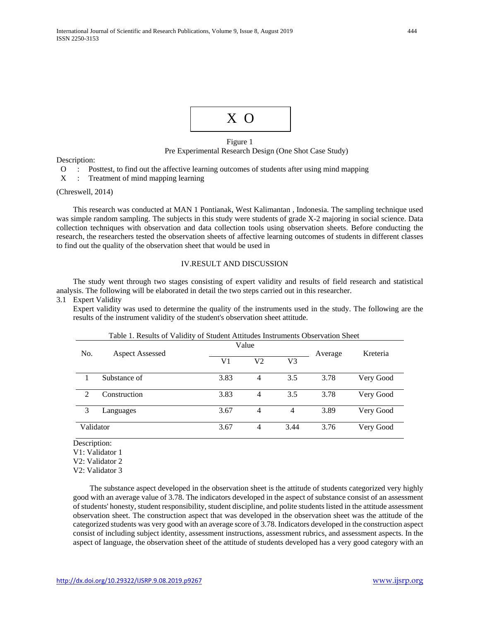

## Figure 1 Pre Experimental Research Design (One Shot Case Study)

Description:

O : Posttest, to find out the affective learning outcomes of students after using mind mapping

X : Treatment of mind mapping learning

(Chreswell, 2014)

This research was conducted at MAN 1 Pontianak, West Kalimantan , Indonesia. The sampling technique used was simple random sampling. The subjects in this study were students of grade X-2 majoring in social science. Data collection techniques with observation and data collection tools using observation sheets. Before conducting the research, the researchers tested the observation sheets of affective learning outcomes of students in different classes to find out the quality of the observation sheet that would be used in

#### IV.RESULT AND DISCUSSION

The study went through two stages consisting of expert validity and results of field research and statistical analysis. The following will be elaborated in detail the two steps carried out in this researcher.

#### 3.1 Expert Validity

Expert validity was used to determine the quality of the instruments used in the study. The following are the results of the instrument validity of the student's observation sheet attitude.

| Table 1. Results of Validity of Student Attitudes Instruments Observation Sheet |                        |       |                |      |         |           |
|---------------------------------------------------------------------------------|------------------------|-------|----------------|------|---------|-----------|
| No.                                                                             | <b>Aspect Assessed</b> | Value |                |      | Average | Kreteria  |
|                                                                                 |                        | V1    | V <sub>2</sub> | V3   |         |           |
|                                                                                 | Substance of           | 3.83  | $\overline{4}$ | 3.5  | 3.78    | Very Good |
| $\mathcal{D}_{\mathcal{L}}$                                                     | Construction           | 3.83  | $\overline{4}$ | 3.5  | 3.78    | Very Good |
| 3                                                                               | Languages              | 3.67  | $\overline{4}$ | 4    | 3.89    | Very Good |
| Validator                                                                       |                        | 3.67  | 4              | 3.44 | 3.76    | Very Good |

Description:

V1: Validator 1

V2: Validator 2

V2: Validator 3

The substance aspect developed in the observation sheet is the attitude of students categorized very highly good with an average value of 3.78. The indicators developed in the aspect of substance consist of an assessment of students' honesty, student responsibility, student discipline, and polite students listed in the attitude assessment observation sheet. The construction aspect that was developed in the observation sheet was the attitude of the categorized students was very good with an average score of 3.78. Indicators developed in the construction aspect consist of including subject identity, assessment instructions, assessment rubrics, and assessment aspects. In the aspect of language, the observation sheet of the attitude of students developed has a very good category with an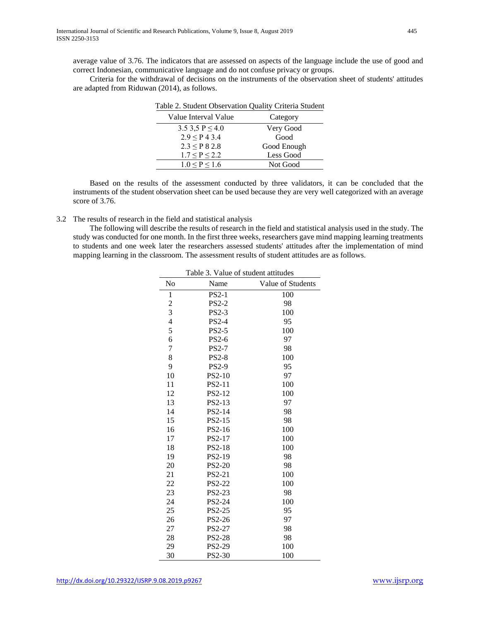average value of 3.76. The indicators that are assessed on aspects of the language include the use of good and correct Indonesian, communicative language and do not confuse privacy or groups.

Criteria for the withdrawal of decisions on the instruments of the observation sheet of students' attitudes are adapted from Riduwan (2014), as follows.

| Table 2. Student Observation Quality Criteria Student |             |  |  |
|-------------------------------------------------------|-------------|--|--|
| Value Interval Value                                  | Category    |  |  |
| 3.5 3,5 P $\leq$ 4.0                                  | Very Good   |  |  |
| $2.9 \le P 4 3.4$                                     | Good        |  |  |
| $2.3 \le P 8 2.8$                                     | Good Enough |  |  |
| $1.7 \le P \le 2.2$                                   | Less Good   |  |  |
| $1.0 \le P \le 1.6$                                   | Not Good    |  |  |

Based on the results of the assessment conducted by three validators, it can be concluded that the instruments of the student observation sheet can be used because they are very well categorized with an average score of 3.76.

3.2 The results of research in the field and statistical analysis

The following will describe the results of research in the field and statistical analysis used in the study. The study was conducted for one month. In the first three weeks, researchers gave mind mapping learning treatments to students and one week later the researchers assessed students' attitudes after the implementation of mind mapping learning in the classroom. The assessment results of student attitudes are as follows.

| Table 3. Value of student attitudes |              |                   |  |  |
|-------------------------------------|--------------|-------------------|--|--|
| No                                  | Name         | Value of Students |  |  |
| 1                                   | $PS2-1$      | 100               |  |  |
| $\overline{c}$                      | <b>PS2-2</b> | 98                |  |  |
| 3                                   | <b>PS2-3</b> | 100               |  |  |
| $\overline{4}$                      | <b>PS2-4</b> | 95                |  |  |
| 5                                   | PS2-5        | 100               |  |  |
| 6                                   | PS2-6        | 97                |  |  |
| $\overline{7}$                      | <b>PS2-7</b> | 98                |  |  |
| 8                                   | <b>PS2-8</b> | 100               |  |  |
| 9                                   | <b>PS2-9</b> | 95                |  |  |
| 10                                  | PS2-10       | 97                |  |  |
| 11                                  | PS2-11       | 100               |  |  |
| 12                                  | PS2-12       | 100               |  |  |
| 13                                  | PS2-13       | 97                |  |  |
| 14                                  | PS2-14       | 98                |  |  |
| 15                                  | PS2-15       | 98                |  |  |
| 16                                  | PS2-16       | 100               |  |  |
| 17                                  | PS2-17       | 100               |  |  |
| 18                                  | PS2-18       | 100               |  |  |
| 19                                  | PS2-19       | 98                |  |  |
| 20                                  | PS2-20       | 98                |  |  |
| 21                                  | PS2-21       | 100               |  |  |
| 22                                  | PS2-22       | 100               |  |  |
| 23                                  | PS2-23       | 98                |  |  |
| 24                                  | PS2-24       | 100               |  |  |
| 25                                  | PS2-25       | 95                |  |  |
| 26                                  | PS2-26       | 97                |  |  |
| 27                                  | PS2-27       | 98                |  |  |
| 28                                  | PS2-28       | 98                |  |  |
| 29                                  | PS2-29       | 100               |  |  |
| 30                                  | PS2-30       | 100               |  |  |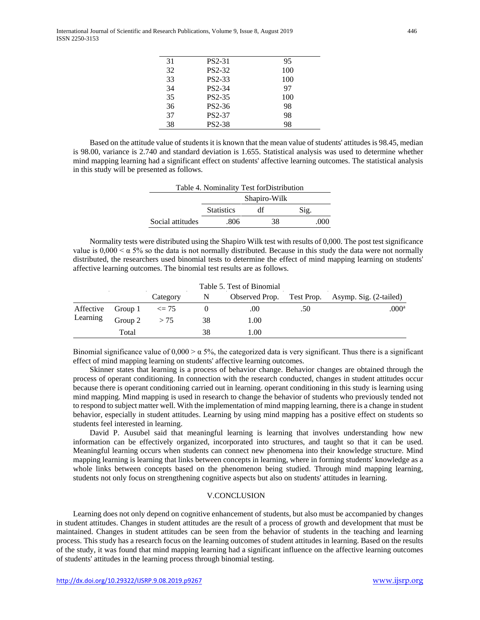| 31 | PS2-31              | 95  |
|----|---------------------|-----|
| 32 | PS2-32              | 100 |
| 33 | PS2-33              | 100 |
| 34 | PS2-34              | 97  |
| 35 | PS2-35              | 100 |
| 36 | PS <sub>2</sub> -36 | 98  |
| 37 | <b>PS2-37</b>       | 98  |
| 38 | <b>PS2-38</b>       | 98  |

Based on the attitude value of students it is known that the mean value of students' attitudes is 98.45, median is 98.00, variance is 2.740 and standard deviation is 1.655. Statistical analysis was used to determine whether mind mapping learning had a significant effect on students' affective learning outcomes. The statistical analysis in this study will be presented as follows.

| Table 4. Nominality Test for Distribution |                   |    |      |     |
|-------------------------------------------|-------------------|----|------|-----|
|                                           | Shapiro-Wilk      |    |      |     |
|                                           | <b>Statistics</b> | df | Sig. |     |
| Social attitudes                          | .806              |    | 38   | 000 |

Normality tests were distributed using the Shapiro Wilk test with results of 0,000. The post test significance value is  $0,000 < \alpha$  5% so the data is not normally distributed. Because in this study the data were not normally distributed, the researchers used binomial tests to determine the effect of mind mapping learning on students' affective learning outcomes. The binomial test results are as follows.

| Table 5. Test of Binomial   |         |          |    |      |     |                                                  |
|-----------------------------|---------|----------|----|------|-----|--------------------------------------------------|
|                             |         | Category | N  |      |     | Observed Prop. Test Prop. Asymp. Sig. (2-tailed) |
| Affective Group $1 \leq 75$ |         |          |    | .00  | .50 | $.000$ <sup>a</sup>                              |
| Learning                    | Group 2 | > 75     | 38 | 1.00 |     |                                                  |
|                             | Total   |          | 38 | 1.00 |     |                                                  |

Binomial significance value of  $0,000 > \alpha$  5%, the categorized data is very significant. Thus there is a significant effect of mind mapping learning on students' affective learning outcomes.

Skinner states that learning is a process of behavior change. Behavior changes are obtained through the process of operant conditioning. In connection with the research conducted, changes in student attitudes occur because there is operant conditioning carried out in learning. operant conditioning in this study is learning using mind mapping. Mind mapping is used in research to change the behavior of students who previously tended not to respond to subject matter well. With the implementation of mind mapping learning, there is a change in student behavior, especially in student attitudes. Learning by using mind mapping has a positive effect on students so students feel interested in learning.

David P. Ausubel said that meaningful learning is learning that involves understanding how new information can be effectively organized, incorporated into structures, and taught so that it can be used. Meaningful learning occurs when students can connect new phenomena into their knowledge structure. Mind mapping learning is learning that links between concepts in learning, where in forming students' knowledge as a whole links between concepts based on the phenomenon being studied. Through mind mapping learning, students not only focus on strengthening cognitive aspects but also on students' attitudes in learning.

## V.CONCLUSION

Learning does not only depend on cognitive enhancement of students, but also must be accompanied by changes in student attitudes. Changes in student attitudes are the result of a process of growth and development that must be maintained. Changes in student attitudes can be seen from the behavior of students in the teaching and learning process. This study has a research focus on the learning outcomes of student attitudes in learning. Based on the results of the study, it was found that mind mapping learning had a significant influence on the affective learning outcomes of students' attitudes in the learning process through binomial testing.